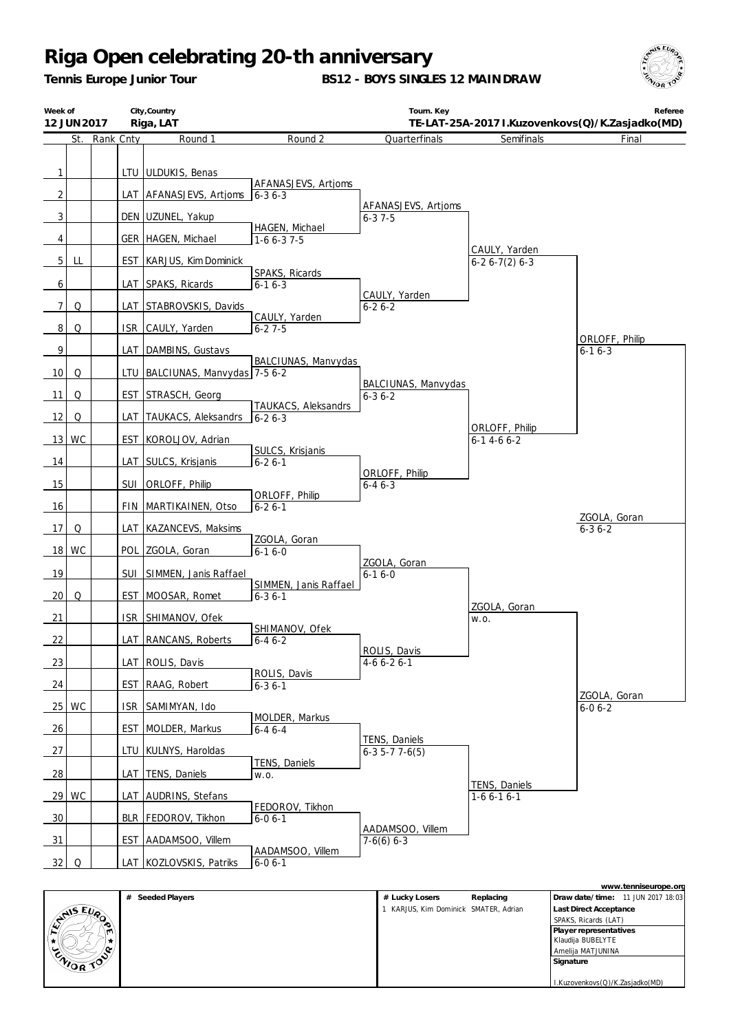*Tennis Europe Junior Tour*

**BS12 - BOYS SINGLES 12 MAINDRAW**



| Week of        | 12 JUN 2017 |           |            | City, Country<br>Riga, LAT          |                                       | Tourn. Key                          |                                     | Referee<br>TE-LAT-25A-2017 I.Kuzovenkovs(Q)/K.Zasjadko(MD) |
|----------------|-------------|-----------|------------|-------------------------------------|---------------------------------------|-------------------------------------|-------------------------------------|------------------------------------------------------------|
|                | St.         | Rank Cnty |            | Round 1                             | Round 2                               | Quarterfinals                       | Semifinals                          | Final                                                      |
| 1              |             |           |            | LTU ULDUKIS, Benas                  | AFANASJEVS, Artjoms                   |                                     |                                     |                                                            |
| $\overline{2}$ |             |           |            | LAT AFANASJEVS, Artioms             | $6 - 36 - 3$                          | AFANASJEVS, Artjoms                 |                                     |                                                            |
| $\overline{3}$ |             |           |            | DEN UZUNEL, Yakup                   | HAGEN, Michael                        | $6 - 37 - 5$                        |                                     |                                                            |
| 4              |             |           |            | GER   HAGEN, Michael                | $1-66-37-5$                           |                                     | CAULY, Yarden                       |                                                            |
| 5 <sub>1</sub> | LL          |           |            | EST KARJUS, Kim Dominick            | SPAKS, Ricards                        |                                     | $6-26-7(2)6-3$                      |                                                            |
| 6              |             |           |            | LAT SPAKS, Ricards                  | $6 - 16 - 3$                          |                                     |                                     |                                                            |
| 7              | Q           |           |            | LAT STABROVSKIS, Davids             |                                       | CAULY, Yarden<br>$6 - 26 - 2$       |                                     |                                                            |
| 8              | Q           |           | <b>ISR</b> | CAULY, Yarden                       | CAULY, Yarden<br>$6 - 27 - 5$         |                                     |                                     |                                                            |
| 9              |             |           |            | LAT DAMBINS, Gustavs                |                                       |                                     |                                     | ORLOFF, Philip<br>$6 - 16 - 3$                             |
| 10             | Q           |           |            | LTU   BALCIUNAS, Manvydas   7-5 6-2 | BALCIUNAS, Manvydas                   |                                     |                                     |                                                            |
| 11             | Q           |           |            | EST STRASCH, Georg                  |                                       | BALCIUNAS, Manvydas<br>$6 - 36 - 2$ |                                     |                                                            |
| 12             | Q           |           | LAT        | TAUKACS, Aleksandrs                 | TAUKACS, Aleksandrs<br>$6 - 26 - 3$   |                                     |                                     |                                                            |
|                | 13 WC       |           | <b>EST</b> | KOROLJOV, Adrian                    |                                       |                                     | ORLOFF, Philip<br>$6 - 14 - 66 - 2$ |                                                            |
| 14             |             |           |            | LAT SULCS, Krisjanis                | SULCS, Krisjanis<br>$6 - 26 - 1$      |                                     |                                     |                                                            |
| 15             |             |           | <b>SUI</b> | ORLOFF, Philip                      |                                       | ORLOFF, Philip<br>$6 - 46 - 3$      |                                     |                                                            |
| 16             |             |           | <b>FIN</b> | MARTIKAINEN, Otso                   | ORLOFF, Philip<br>$6 - 26 - 1$        |                                     |                                     |                                                            |
| 17             | Q           |           | LAT        | KAZANCEVS, Maksims                  |                                       |                                     |                                     | ZGOLA, Goran<br>$6 - 36 - 2$                               |
| <b>18</b>      | <b>WC</b>   |           | POL        | ZGOLA, Goran                        | ZGOLA, Goran<br>$6 - 16 - 0$          |                                     |                                     |                                                            |
| 19             |             |           | SUI        | SIMMEN, Janis Raffael               |                                       | ZGOLA, Goran<br>$6 - 16 - 0$        |                                     |                                                            |
| 20             | Q           |           | <b>EST</b> | MOOSAR, Romet                       | SIMMEN, Janis Raffael<br>$6 - 36 - 1$ |                                     |                                     |                                                            |
| 21             |             |           | <b>ISR</b> | SHIMANOV, Ofek                      |                                       |                                     | ZGOLA, Goran                        |                                                            |
| 22             |             |           | LAT        | RANCANS, Roberts                    | SHIMANOV, Ofek                        |                                     | W.O.                                |                                                            |
|                |             |           |            |                                     | $6 - 46 - 2$                          | ROLIS, Davis                        |                                     |                                                            |
| 23             |             |           |            | LAT ROLIS, Davis                    | ROLIS, Davis                          | $4-66-26-1$                         |                                     |                                                            |
| 24             |             |           | <b>EST</b> | RAAG, Robert                        | $6 - 3$ 6 - 1                         |                                     |                                     | ZGOLA, Goran                                               |
|                | 25 WC       |           | ISR        | SAMIMYAN, Ido                       | MOLDER, Markus                        |                                     |                                     | $6 - 06 - 2$                                               |
| 26             |             |           | EST        | MOLDER, Markus                      | $6 - 46 - 4$                          | TENS, Daniels                       |                                     |                                                            |
| 27             |             |           | ltu        | KULNYS, Haroldas                    | TENS, Daniels                         | $6-35-77-6(5)$                      |                                     |                                                            |
| $\frac{28}{ }$ |             |           |            | LAT TENS, Daniels                   | W.O.                                  |                                     | TENS, Daniels                       |                                                            |
|                | 29 WC       |           |            | LAT AUDRINS, Stefans                | FEDOROV, Tikhon                       |                                     | $1-66-16-1$                         |                                                            |
| 30             |             |           |            | BLR   FEDOROV, Tikhon               | $6 - 06 - 1$                          | AADAMSOO, Villem                    |                                     |                                                            |
| $\frac{31}{2}$ |             |           | EST        | AADAMSOO, Villem                    | AADAMSOO, Villem                      | $7-6(6)$ 6-3                        |                                     |                                                            |
| 32             | Q           |           |            | LAT KOZLOVSKIS, Patriks             | $6 - 0 6 - 1$                         |                                     |                                     |                                                            |

|                                |                     |                                     |           | www.tenniseurope.org              |
|--------------------------------|---------------------|-------------------------------------|-----------|-----------------------------------|
|                                | Seeded Players<br># | # Lucky Losers                      | Replacing | Draw date/time: 11 JUN 2017 18:03 |
|                                |                     | KARJUS, Kim Dominick SMATER, Adrian |           | Last Direct Acceptance            |
| $\mathbb{C}^{\text{NIS EU}_R}$ |                     |                                     |           | SPAKS, Ricards (LAT)              |
| m.                             |                     |                                     |           | Player representatives            |
|                                |                     |                                     |           | Klaudija BUBELYTE                 |
|                                |                     |                                     |           | Amelija MATJUNINA                 |
| ENIOR TO                       |                     |                                     |           | Signature                         |
|                                |                     |                                     |           |                                   |
|                                |                     |                                     |           | I.Kuzovenkovs(Q)/K.Zasjadko(MD)   |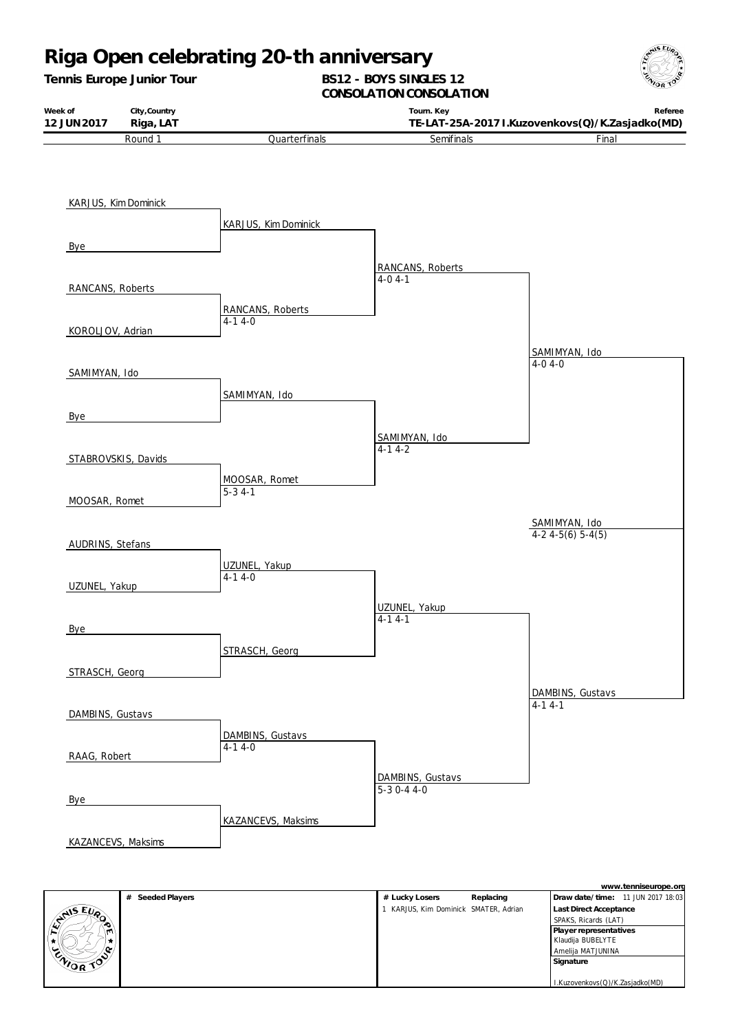

*Tennis Europe Junior Tour*

#### **BS12 - BOYS SINGLES 12** CONSOLATION CONSOLATION

| Week of            | City, Country |               | Tourn. Key                                      | Referee |
|--------------------|---------------|---------------|-------------------------------------------------|---------|
| 12 JUN 2017        | Riga, LAT     |               | TE-LAT-25A-2017 I.Kuzovenkovs(Q)/K.Zasjadko(MD) |         |
| Round <sup>1</sup> |               | Quarterfinals | Semifinals                                      | ™inal   |



|           |                     |                                     |           |                                   | www.tchinscaropc.org |
|-----------|---------------------|-------------------------------------|-----------|-----------------------------------|----------------------|
|           | Seeded Players<br># | # Lucky Losers                      | Replacing | Draw date/time: 11 JUN 2017 18:03 |                      |
|           |                     | KARJUS, Kim Dominick SMATER, Adrian |           | Last Direct Acceptance            |                      |
| ENTIS EUP |                     |                                     |           | SPAKS, Ricards (LAT)              |                      |
|           |                     |                                     |           | Player representatives            |                      |
|           |                     |                                     |           | Klaudija BUBELYTE                 |                      |
| ็         |                     |                                     |           | Amelija MATJUNINA                 |                      |
| CNIOR TOP |                     |                                     |           | Signature                         |                      |
|           |                     |                                     |           |                                   |                      |
|           |                     |                                     |           | I.Kuzovenkovs(Q)/K.Zasjadko(MD)   |                      |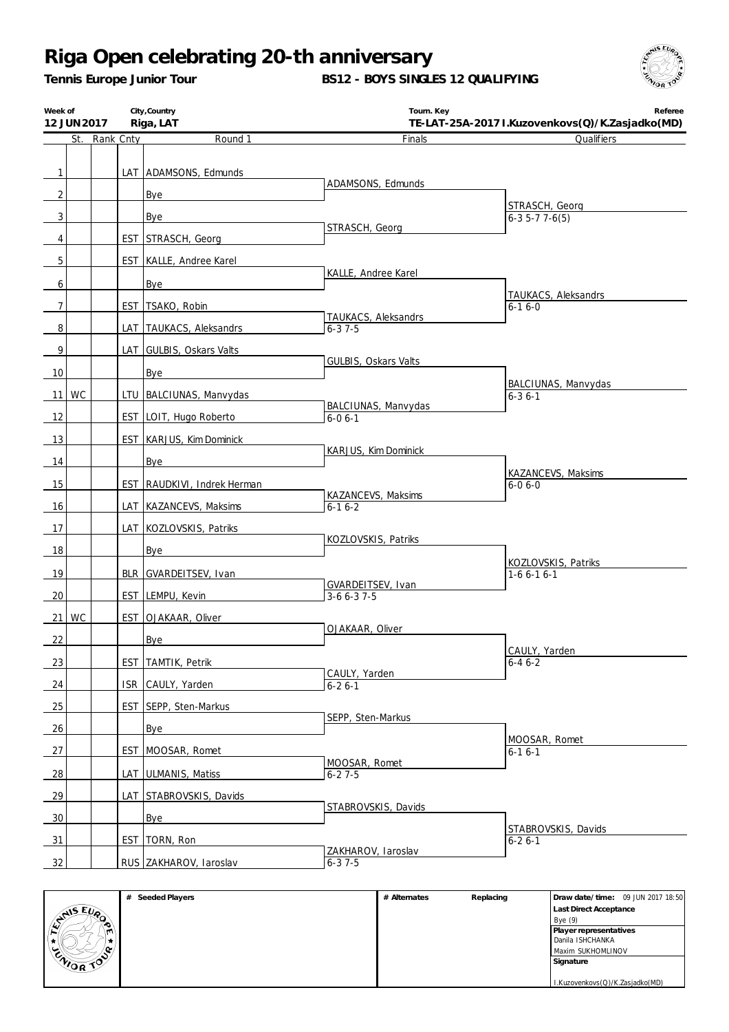*Tennis Europe Junior Tour*

**BS12 - BOYS SINGLES 12 QUALIFYING**



| Round 1<br>St. Rank Cnty<br>Finals<br>Qualifiers<br>LAT ADAMSONS, Edmunds<br>$\mathbf{1}$<br>ADAMSONS, Edmunds<br>$\overline{2}$<br>Bye<br>STRASCH, Georg<br>3<br>Bye<br>$6-35-77-6(5)$<br>STRASCH, Georg<br>EST STRASCH, Georg<br>4<br>5<br>EST   KALLE, Andree Karel<br>KALLE, Andree Karel<br>6<br>Bye<br>TAUKACS, Aleksandrs<br>7<br>EST TSAKO, Robin<br>$6 - 16 - 0$<br>TAUKACS, Aleksandrs<br>8<br>LAT TAUKACS, Aleksandrs<br>$6 - 37 - 5$<br>9<br>LAT GULBIS, Oskars Valts<br>GULBIS, Oskars Valts<br>10<br>Bye<br>BALCIUNAS, Manvydas<br>11 WC<br>LTU BALCIUNAS, Manvydas<br>$6 - 36 - 1$<br>BALCIUNAS, Manvydas<br>12<br>EST LOIT, Hugo Roberto<br>$6 - 06 - 1$<br>13<br><b>EST KARJUS, Kim Dominick</b><br>KARJUS, Kim Dominick<br>14<br>Bye<br>KAZANCEVS, Maksims<br>15<br>EST RAUDKIVI, Indrek Herman<br>$6 - 06 - 0$<br>KAZANCEVS, Maksims<br>16<br>LAT KAZANCEVS, Maksims<br>$6 - 16 - 2$<br>17<br>LAT KOZLOVSKIS, Patriks<br>KOZLOVSKIS, Patriks<br>18<br>Bye<br>KOZLOVSKIS, Patriks<br>19<br>BLR GVARDEITSEV, Ivan<br>$1-66-16-1$<br>GVARDEITSEV, Ivan<br>EST LEMPU, Kevin<br>20<br>$3-66-37-5$<br>21 WC<br>EST OJAKAAR, Oliver<br>OJAKAAR, Oliver<br>22<br>Bye<br>CAULY, Yarden<br>23<br>EST TAMTIK, Petrik<br>$6 - 46 - 2$<br>CAULY, Yarden<br>24<br>ISR CAULY, Yarden<br>$6 - 26 - 1$<br>25<br>EST SEPP, Sten-Markus<br>SEPP, Sten-Markus<br>26 | Week of<br>12 JUN 2017 |  | City, Country<br>Riga, LAT | Tourn. Key | Referee<br>TE-LAT-25A-2017 I.Kuzovenkovs(Q)/K.Zasjadko(MD) |
|--------------------------------------------------------------------------------------------------------------------------------------------------------------------------------------------------------------------------------------------------------------------------------------------------------------------------------------------------------------------------------------------------------------------------------------------------------------------------------------------------------------------------------------------------------------------------------------------------------------------------------------------------------------------------------------------------------------------------------------------------------------------------------------------------------------------------------------------------------------------------------------------------------------------------------------------------------------------------------------------------------------------------------------------------------------------------------------------------------------------------------------------------------------------------------------------------------------------------------------------------------------------------------------------------------------------------------------------------------------------|------------------------|--|----------------------------|------------|------------------------------------------------------------|
|                                                                                                                                                                                                                                                                                                                                                                                                                                                                                                                                                                                                                                                                                                                                                                                                                                                                                                                                                                                                                                                                                                                                                                                                                                                                                                                                                                    |                        |  |                            |            |                                                            |
|                                                                                                                                                                                                                                                                                                                                                                                                                                                                                                                                                                                                                                                                                                                                                                                                                                                                                                                                                                                                                                                                                                                                                                                                                                                                                                                                                                    |                        |  |                            |            |                                                            |
|                                                                                                                                                                                                                                                                                                                                                                                                                                                                                                                                                                                                                                                                                                                                                                                                                                                                                                                                                                                                                                                                                                                                                                                                                                                                                                                                                                    |                        |  |                            |            |                                                            |
|                                                                                                                                                                                                                                                                                                                                                                                                                                                                                                                                                                                                                                                                                                                                                                                                                                                                                                                                                                                                                                                                                                                                                                                                                                                                                                                                                                    |                        |  |                            |            |                                                            |
|                                                                                                                                                                                                                                                                                                                                                                                                                                                                                                                                                                                                                                                                                                                                                                                                                                                                                                                                                                                                                                                                                                                                                                                                                                                                                                                                                                    |                        |  |                            |            |                                                            |
|                                                                                                                                                                                                                                                                                                                                                                                                                                                                                                                                                                                                                                                                                                                                                                                                                                                                                                                                                                                                                                                                                                                                                                                                                                                                                                                                                                    |                        |  |                            |            |                                                            |
|                                                                                                                                                                                                                                                                                                                                                                                                                                                                                                                                                                                                                                                                                                                                                                                                                                                                                                                                                                                                                                                                                                                                                                                                                                                                                                                                                                    |                        |  |                            |            |                                                            |
|                                                                                                                                                                                                                                                                                                                                                                                                                                                                                                                                                                                                                                                                                                                                                                                                                                                                                                                                                                                                                                                                                                                                                                                                                                                                                                                                                                    |                        |  |                            |            |                                                            |
|                                                                                                                                                                                                                                                                                                                                                                                                                                                                                                                                                                                                                                                                                                                                                                                                                                                                                                                                                                                                                                                                                                                                                                                                                                                                                                                                                                    |                        |  |                            |            |                                                            |
|                                                                                                                                                                                                                                                                                                                                                                                                                                                                                                                                                                                                                                                                                                                                                                                                                                                                                                                                                                                                                                                                                                                                                                                                                                                                                                                                                                    |                        |  |                            |            |                                                            |
|                                                                                                                                                                                                                                                                                                                                                                                                                                                                                                                                                                                                                                                                                                                                                                                                                                                                                                                                                                                                                                                                                                                                                                                                                                                                                                                                                                    |                        |  |                            |            |                                                            |
|                                                                                                                                                                                                                                                                                                                                                                                                                                                                                                                                                                                                                                                                                                                                                                                                                                                                                                                                                                                                                                                                                                                                                                                                                                                                                                                                                                    |                        |  |                            |            |                                                            |
|                                                                                                                                                                                                                                                                                                                                                                                                                                                                                                                                                                                                                                                                                                                                                                                                                                                                                                                                                                                                                                                                                                                                                                                                                                                                                                                                                                    |                        |  |                            |            |                                                            |
|                                                                                                                                                                                                                                                                                                                                                                                                                                                                                                                                                                                                                                                                                                                                                                                                                                                                                                                                                                                                                                                                                                                                                                                                                                                                                                                                                                    |                        |  |                            |            |                                                            |
|                                                                                                                                                                                                                                                                                                                                                                                                                                                                                                                                                                                                                                                                                                                                                                                                                                                                                                                                                                                                                                                                                                                                                                                                                                                                                                                                                                    |                        |  |                            |            |                                                            |
|                                                                                                                                                                                                                                                                                                                                                                                                                                                                                                                                                                                                                                                                                                                                                                                                                                                                                                                                                                                                                                                                                                                                                                                                                                                                                                                                                                    |                        |  |                            |            |                                                            |
|                                                                                                                                                                                                                                                                                                                                                                                                                                                                                                                                                                                                                                                                                                                                                                                                                                                                                                                                                                                                                                                                                                                                                                                                                                                                                                                                                                    |                        |  |                            |            |                                                            |
|                                                                                                                                                                                                                                                                                                                                                                                                                                                                                                                                                                                                                                                                                                                                                                                                                                                                                                                                                                                                                                                                                                                                                                                                                                                                                                                                                                    |                        |  |                            |            |                                                            |
|                                                                                                                                                                                                                                                                                                                                                                                                                                                                                                                                                                                                                                                                                                                                                                                                                                                                                                                                                                                                                                                                                                                                                                                                                                                                                                                                                                    |                        |  |                            |            |                                                            |
|                                                                                                                                                                                                                                                                                                                                                                                                                                                                                                                                                                                                                                                                                                                                                                                                                                                                                                                                                                                                                                                                                                                                                                                                                                                                                                                                                                    |                        |  |                            |            |                                                            |
|                                                                                                                                                                                                                                                                                                                                                                                                                                                                                                                                                                                                                                                                                                                                                                                                                                                                                                                                                                                                                                                                                                                                                                                                                                                                                                                                                                    |                        |  |                            |            |                                                            |
|                                                                                                                                                                                                                                                                                                                                                                                                                                                                                                                                                                                                                                                                                                                                                                                                                                                                                                                                                                                                                                                                                                                                                                                                                                                                                                                                                                    |                        |  |                            |            |                                                            |
|                                                                                                                                                                                                                                                                                                                                                                                                                                                                                                                                                                                                                                                                                                                                                                                                                                                                                                                                                                                                                                                                                                                                                                                                                                                                                                                                                                    |                        |  |                            |            |                                                            |
|                                                                                                                                                                                                                                                                                                                                                                                                                                                                                                                                                                                                                                                                                                                                                                                                                                                                                                                                                                                                                                                                                                                                                                                                                                                                                                                                                                    |                        |  |                            |            |                                                            |
|                                                                                                                                                                                                                                                                                                                                                                                                                                                                                                                                                                                                                                                                                                                                                                                                                                                                                                                                                                                                                                                                                                                                                                                                                                                                                                                                                                    |                        |  |                            |            |                                                            |
|                                                                                                                                                                                                                                                                                                                                                                                                                                                                                                                                                                                                                                                                                                                                                                                                                                                                                                                                                                                                                                                                                                                                                                                                                                                                                                                                                                    |                        |  |                            |            |                                                            |
|                                                                                                                                                                                                                                                                                                                                                                                                                                                                                                                                                                                                                                                                                                                                                                                                                                                                                                                                                                                                                                                                                                                                                                                                                                                                                                                                                                    |                        |  |                            |            |                                                            |
|                                                                                                                                                                                                                                                                                                                                                                                                                                                                                                                                                                                                                                                                                                                                                                                                                                                                                                                                                                                                                                                                                                                                                                                                                                                                                                                                                                    |                        |  |                            |            |                                                            |
|                                                                                                                                                                                                                                                                                                                                                                                                                                                                                                                                                                                                                                                                                                                                                                                                                                                                                                                                                                                                                                                                                                                                                                                                                                                                                                                                                                    |                        |  |                            |            |                                                            |
|                                                                                                                                                                                                                                                                                                                                                                                                                                                                                                                                                                                                                                                                                                                                                                                                                                                                                                                                                                                                                                                                                                                                                                                                                                                                                                                                                                    |                        |  |                            |            |                                                            |
| MOOSAR, Romet                                                                                                                                                                                                                                                                                                                                                                                                                                                                                                                                                                                                                                                                                                                                                                                                                                                                                                                                                                                                                                                                                                                                                                                                                                                                                                                                                      |                        |  | Bye                        |            |                                                            |
| 27<br>EST MOOSAR, Romet<br>$6 - 16 - 1$<br>MOOSAR, Romet                                                                                                                                                                                                                                                                                                                                                                                                                                                                                                                                                                                                                                                                                                                                                                                                                                                                                                                                                                                                                                                                                                                                                                                                                                                                                                           |                        |  |                            |            |                                                            |
| 28<br>LAT ULMANIS, Matiss<br>$6 - 27 - 5$                                                                                                                                                                                                                                                                                                                                                                                                                                                                                                                                                                                                                                                                                                                                                                                                                                                                                                                                                                                                                                                                                                                                                                                                                                                                                                                          |                        |  |                            |            |                                                            |
| 29<br>LAT STABROVSKIS, Davids<br>STABROVSKIS, Davids                                                                                                                                                                                                                                                                                                                                                                                                                                                                                                                                                                                                                                                                                                                                                                                                                                                                                                                                                                                                                                                                                                                                                                                                                                                                                                               |                        |  |                            |            |                                                            |
| 30<br>Bye                                                                                                                                                                                                                                                                                                                                                                                                                                                                                                                                                                                                                                                                                                                                                                                                                                                                                                                                                                                                                                                                                                                                                                                                                                                                                                                                                          |                        |  |                            |            |                                                            |
| STABROVSKIS, Davids<br>EST TORN, Ron<br>31<br>$6 - 26 - 1$                                                                                                                                                                                                                                                                                                                                                                                                                                                                                                                                                                                                                                                                                                                                                                                                                                                                                                                                                                                                                                                                                                                                                                                                                                                                                                         |                        |  |                            |            |                                                            |
| ZAKHAROV, Iaroslav<br>32<br>RUS ZAKHAROV, Iaroslav<br>$6 - 37 - 5$                                                                                                                                                                                                                                                                                                                                                                                                                                                                                                                                                                                                                                                                                                                                                                                                                                                                                                                                                                                                                                                                                                                                                                                                                                                                                                 |                        |  |                            |            |                                                            |

|                  | Seeded Players<br># | # Alternates | Replacing | Draw date/time: 09 JUN 2017 18:50 |
|------------------|---------------------|--------------|-----------|-----------------------------------|
|                  |                     |              |           | Last Direct Acceptance            |
| ANS EVA          |                     |              |           | Bye(9)                            |
|                  |                     |              |           | Player representatives            |
|                  |                     |              |           | Danila ISHCHANKA                  |
| $\sim$<br>∽      |                     |              |           | Maxim SUKHOMLINOV                 |
| <b>ENIOR TOP</b> |                     |              |           | Signature                         |
|                  |                     |              |           |                                   |
|                  |                     |              |           | I.Kuzovenkovs(Q)/K.Zasjadko(MD)   |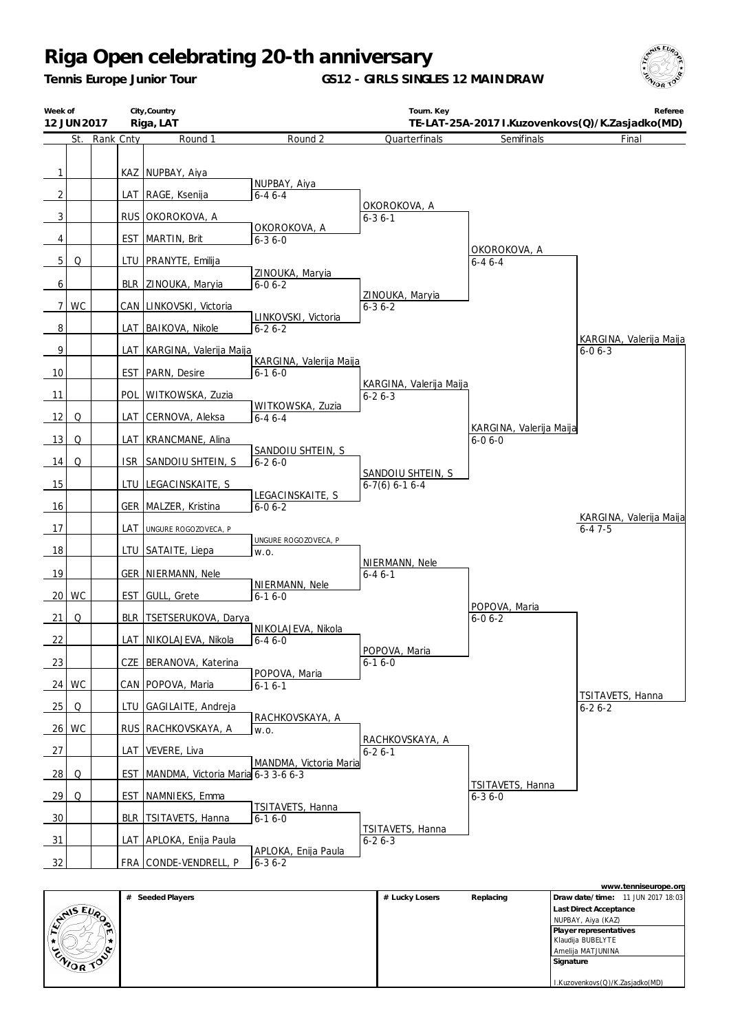*Tennis Europe Junior Tour*

**GS12 - GIRLS SINGLES 12 MAINDRAW**



| Week of        | 12 JUN 2017 |               |            | City, Country<br>Riga, LAT         |                                         | Tourn. Key                              | TE-LAT-25A-2017 I.Kuzovenkovs(Q)/K.Zasjadko(MD) | Referee                                 |
|----------------|-------------|---------------|------------|------------------------------------|-----------------------------------------|-----------------------------------------|-------------------------------------------------|-----------------------------------------|
|                |             | St. Rank Cnty |            | Round 1                            | Round 2                                 | Quarterfinals                           | Semifinals                                      | Final                                   |
| $\mathbf{1}$   |             |               |            | KAZ NUPBAY, Aiya                   | NUPBAY, Aiya                            |                                         |                                                 |                                         |
| $\overline{2}$ |             |               |            | LAT RAGE, Ksenija                  | $6 - 46 - 4$                            | OKOROKOVA, A                            |                                                 |                                         |
| 3              |             |               |            | RUS OKOROKOVA, A                   |                                         | $6 - 36 - 1$                            |                                                 |                                         |
| 4              |             |               | <b>EST</b> | MARTIN, Brit                       | OKOROKOVA, A<br>$6 - 36 - 0$            |                                         |                                                 |                                         |
| 5 <sub>1</sub> | Q           |               |            | LTU   PRANYTE, Emilija             |                                         |                                         | OKOROKOVA, A<br>$6 - 46 - 4$                    |                                         |
| 6              |             |               |            | BLR ZINOUKA, Maryia                | ZINOUKA, Maryia<br>$6 - 06 - 2$         |                                         |                                                 |                                         |
| 7 <sup>1</sup> | WC          |               |            | CAN LINKOVSKI, Victoria            |                                         | ZINOUKA, Maryia<br>$6 - 36 - 2$         |                                                 |                                         |
| 8              |             |               |            | LAT   BAIKOVA, Nikole              | LINKOVSKI, Victoria<br>$6 - 26 - 2$     |                                         |                                                 |                                         |
| 9              |             |               |            | LAT   KARGINA, Valerija Maija      |                                         |                                         |                                                 | KARGINA, Valerija Maija<br>$6 - 06 - 3$ |
| 10             |             |               | <b>EST</b> | PARN, Desire                       | KARGINA, Valerija Maija<br>$6 - 16 - 0$ |                                         |                                                 |                                         |
| 11             |             |               | POL        | WITKOWSKA, Zuzia                   | WITKOWSKA, Zuzia                        | KARGINA, Valerija Maija<br>$6 - 26 - 3$ |                                                 |                                         |
| 12             | Q           |               | LAT        | CERNOVA, Aleksa                    | $6 - 46 - 4$                            |                                         |                                                 |                                         |
| 13             | Q           |               | LAT        | KRANCMANE, Alina                   |                                         |                                         | KARGINA, Valerija Maija<br>$6 - 06 - 0$         |                                         |
| 14             | Q           |               | <b>ISR</b> | SANDOIU SHTEIN, S                  | SANDOIU SHTEIN, S<br>$6 - 26 - 0$       |                                         |                                                 |                                         |
| 15             |             |               |            | LTU LEGACINSKAITE, S               |                                         | SANDOIU SHTEIN, S<br>$6-7(6)$ 6-1 6-4   |                                                 |                                         |
| 16             |             |               |            | GER   MALZER, Kristina             | LEGACINSKAITE, S<br>$6 - 06 - 2$        |                                         |                                                 |                                         |
| 17             |             |               | LAT        | UNGURE ROGOZOVECA, P               |                                         |                                         |                                                 | KARGINA, Valerija Maija<br>$6 - 47 - 5$ |
| 18             |             |               | LTU        | SATAITE, Liepa                     | UNGURE ROGOZOVECA, P<br>W.O.            |                                         |                                                 |                                         |
| 19             |             |               |            | <b>GER NIERMANN, Nele</b>          |                                         | NIERMANN, Nele<br>$6 - 46 - 1$          |                                                 |                                         |
|                | 20 WC       |               | <b>EST</b> | GULL, Grete                        | NIERMANN, Nele<br>$6 - 16 - 0$          |                                         |                                                 |                                         |
| 21             | Q           |               |            | BLR   TSETSERUKOVA, Darya          |                                         |                                         | POPOVA, Maria<br>$6 - 06 - 2$                   |                                         |
| 22             |             |               |            | LAT NIKOLAJEVA, Nikola             | NIKOLAJEVA, Nikola<br>$6 - 46 - 0$      |                                         |                                                 |                                         |
| 23             |             |               |            | CZE BERANOVA, Katerina             |                                         | POPOVA, Maria<br>$6 - 16 - 0$           |                                                 |                                         |
| 24             | WC          |               |            | CAN   POPOVA, Maria                | POPOVA, Maria<br>$6 - 16 - 1$           |                                         |                                                 |                                         |
| 25             | Q           |               |            | LTU GAGILAITE, Andreja             |                                         |                                         |                                                 | TSITAVETS, Hanna<br>$6 - 26 - 2$        |
| 26             | WC          |               |            | RUS   RACHKOVSKAYA, A              | RACHKOVSKAYA, A<br>W.O.                 |                                         |                                                 |                                         |
| 27             |             |               | LAT        | VEVERE, Liva                       |                                         | RACHKOVSKAYA, A<br>$6 - 26 - 1$         |                                                 |                                         |
| $\frac{28}{ }$ | Q           |               | EST        | MANDMA, Victoria Maria 6-3 3-6 6-3 | MANDMA, Victoria Maria                  |                                         | TSITAVETS, Hanna                                |                                         |
| 29             | Q           |               | EST        | NAMNIEKS, Emma                     |                                         |                                         | $6 - 36 - 0$                                    |                                         |
| $\frac{30}{2}$ |             |               | <b>BLR</b> | TSITAVETS, Hanna                   | <b>TSITAVETS, Hanna</b><br>$6 - 16 - 0$ | TSITAVETS, Hanna                        |                                                 |                                         |
| 31             |             |               |            | LAT   APLOKA, Enija Paula          | APLOKA, Enija Paula                     | $6 - 26 - 3$                            |                                                 |                                         |
| 32             |             |               |            | FRA CONDE-VENDRELL, P              | $6 - 36 - 2$                            |                                         |                                                 |                                         |

|          |                  |                |           | www.tenniseurope.org              |
|----------|------------------|----------------|-----------|-----------------------------------|
|          | # Seeded Players | # Lucky Losers | Replacing | Draw date/time: 11 JUN 2017 18:03 |
|          |                  |                |           | Last Direct Acceptance            |
| ENIS EUR |                  |                |           | NUPBAY, Aiya (KAZ)                |
| m        |                  |                |           | Player representatives            |
| 食力       |                  |                |           | Klaudija BUBELYTE                 |
|          |                  |                |           | Amelija MATJUNINA                 |
| ENIOR TO |                  |                |           | Signature                         |
|          |                  |                |           |                                   |
|          |                  |                |           | I.Kuzovenkovs(Q)/K.Zasjadko(MD)   |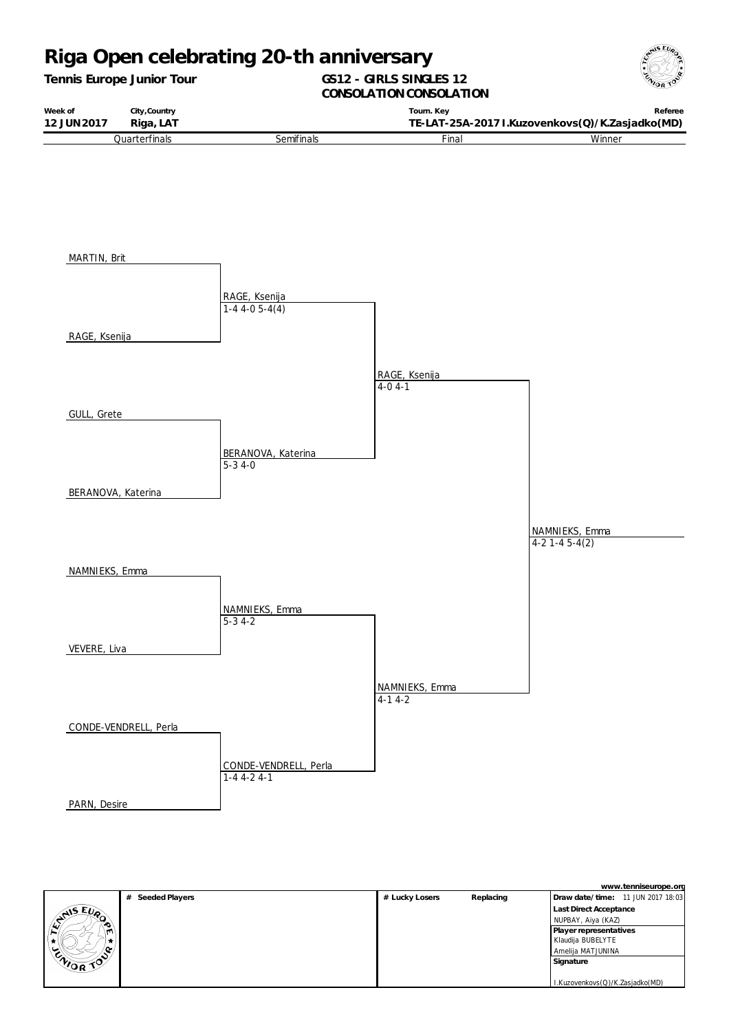*Tennis Europe Junior Tour*

## **GS12 - GIRLS SINGLES 12**



**CONSOLATION CONSOLATION** 

| Week of     | City, Country |            | Tourn, Kev   | Referee                                         |
|-------------|---------------|------------|--------------|-------------------------------------------------|
| 12 JUN 2017 | Riga, LAT     |            |              | TE-LAT-25A-2017 I.Kuzovenkovs(Q)/K.Zasjadko(MD) |
|             | Quarterfinals | Semifinals | <b>Final</b> | Winner                                          |



|           |                  |                |           | www.tenniseurope.org              |
|-----------|------------------|----------------|-----------|-----------------------------------|
|           | # Seeded Players | # Lucky Losers | Replacing | Draw date/time: 11 JUN 2017 18:03 |
|           |                  |                |           | Last Direct Acceptance            |
| CANSEUPO  |                  |                |           | NUPBAY, Aiya (KAZ)                |
| m         |                  |                |           | Player representatives            |
|           |                  |                |           | Klaudija BUBELYTE                 |
|           |                  |                |           | Amelija MATJUNINA                 |
| ENIOR TOP |                  |                |           | Signature                         |
|           |                  |                |           |                                   |
|           |                  |                |           | I.Kuzovenkovs(Q)/K.Zasjadko(MD)   |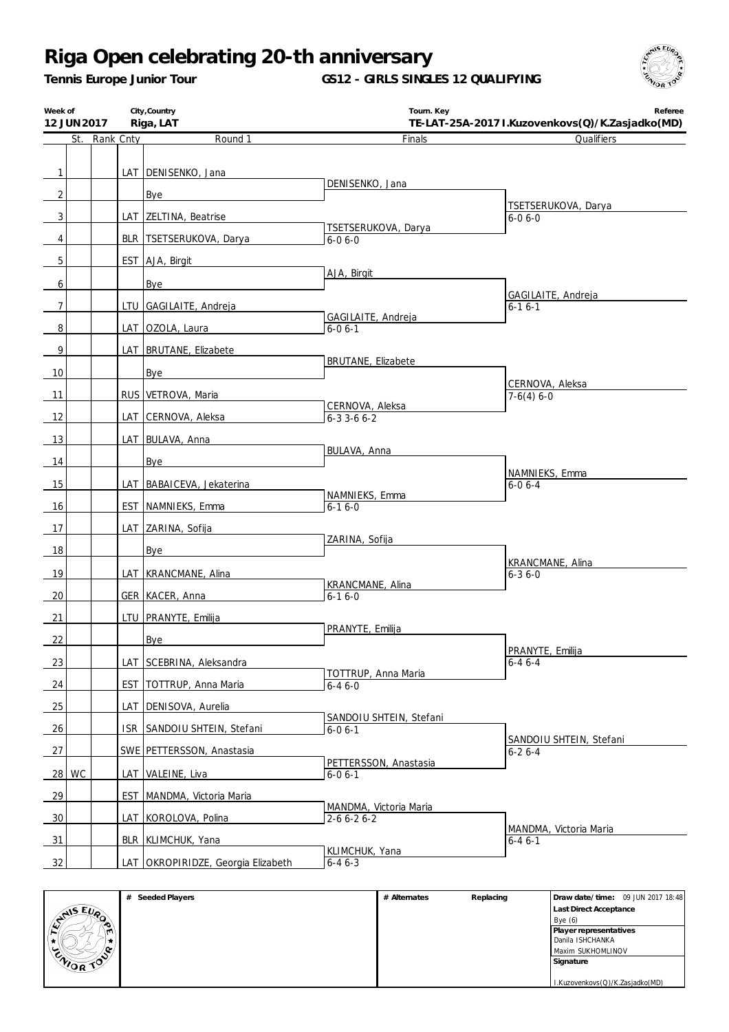*Tennis Europe Junior Tour*

**GS12 - GIRLS SINGLES 12 QUALIFYING**



| Week of<br>12 JUN 2017 |               | City, Country<br>Riga, LAT         | Tourn. Key                                    | Referee<br>TE-LAT-25A-2017 I.Kuzovenkovs(Q)/K.Zasjadko(MD) |
|------------------------|---------------|------------------------------------|-----------------------------------------------|------------------------------------------------------------|
|                        | St. Rank Cnty | Round 1                            | Finals                                        | Qualifiers                                                 |
|                        |               |                                    |                                               |                                                            |
| $\mathbf{1}$           |               | LAT   DENISENKO, Jana              |                                               |                                                            |
| $\overline{c}$         |               | Bye                                | DENISENKO, Jana                               |                                                            |
| 3                      |               | LAT ZELTINA, Beatrise              |                                               | TSETSERUKOVA, Darya<br>$6 - 06 - 0$                        |
| 4                      |               | BLR   TSETSERUKOVA, Darya          | TSETSERUKOVA, Darya<br>$6 - 06 - 0$           |                                                            |
|                        |               |                                    |                                               |                                                            |
| 5                      |               | EST AJA, Birgit                    | AJA, Birgit                                   |                                                            |
| 6                      |               | Bye                                |                                               | GAGILAITE, Andreja                                         |
| 7                      |               | LTU GAGILAITE, Andreja             |                                               | $6 - 16 - 1$                                               |
| 8                      |               | LAT OZOLA, Laura                   | GAGILAITE, Andreja<br>$6 - 06 - 1$            |                                                            |
| 9                      |               | LAT BRUTANE, Elizabete             |                                               |                                                            |
| 10                     |               | Bye                                | <b>BRUTANE, Elizabete</b>                     |                                                            |
|                        |               |                                    |                                               | CERNOVA, Aleksa                                            |
| 11                     |               | RUS VETROVA, Maria                 | CERNOVA, Aleksa                               | $7-6(4) 6-0$                                               |
| 12                     |               | LAT CERNOVA, Aleksa                | $6 - 3$ 3 - 6 $6 - 2$                         |                                                            |
| 13                     |               | LAT BULAVA, Anna                   | BULAVA, Anna                                  |                                                            |
| 14                     |               | Bye                                |                                               |                                                            |
| 15                     |               | LAT BABAICEVA, Jekaterina          |                                               | NAMNIEKS, Emma<br>$6 - 06 - 4$                             |
| 16                     |               | EST NAMNIEKS, Emma                 | NAMNIEKS, Emma<br>$6 - 16 - 0$                |                                                            |
|                        |               |                                    |                                               |                                                            |
| 17                     |               | LAT ZARINA, Sofija                 | ZARINA, Sofija                                |                                                            |
| 18                     |               | Bye                                |                                               | KRANCMANE, Alina                                           |
| 19                     |               | LAT   KRANCMANE, Alina             | KRANCMANE, Alina                              | $6 - 36 - 0$                                               |
| 20                     |               | GER KACER, Anna                    | $6 - 16 - 0$                                  |                                                            |
| 21                     |               | LTU PRANYTE, Emilija               |                                               |                                                            |
| 22                     |               | <b>Bye</b>                         | PRANYTE, Emilija                              |                                                            |
| 23                     |               | LAT SCEBRINA, Aleksandra           |                                               | PRANYTE, Emilija<br>$6 - 46 - 4$                           |
|                        |               |                                    | TOTTRUP, Anna Maria                           |                                                            |
| 24                     |               | EST TOTTRUP, Anna Maria            | $6 - 46 - 0$                                  |                                                            |
| 25                     |               | LAT DENISOVA, Aurelia              | SANDOIU SHTEIN, Stefani                       |                                                            |
| 26                     |               | ISR SANDOIU SHTEIN, Stefani        | $6 - 06 - 1$                                  |                                                            |
| 27                     |               | SWE PETTERSSON, Anastasia          |                                               | SANDOIU SHTEIN, Stefani<br>$6 - 26 - 4$                    |
| 28 WC                  |               | LAT VALEINE, Liva                  | PETTERSSON, Anastasia<br>$6 - 06 - 1$         |                                                            |
| 29                     |               | EST   MANDMA, Victoria Maria       |                                               |                                                            |
| 30                     |               | LAT KOROLOVA, Polina               | MANDMA, Victoria Maria<br>$2 - 6 6 - 2 6 - 2$ |                                                            |
| 31                     |               | BLR KLIMCHUK, Yana                 |                                               | MANDMA, Victoria Maria                                     |
|                        |               |                                    | KLIMCHUK, Yana                                | $6 - 46 - 1$                                               |
| 32                     |               | LAT OKROPIRIDZE, Georgia Elizabeth | $6 - 46 - 3$                                  |                                                            |

|               | Seeded Players<br># | # Alternates | Replacing | Draw date/time: 09 JUN 2017 18:48 |
|---------------|---------------------|--------------|-----------|-----------------------------------|
| <b>ANSEIA</b> |                     |              |           | Last Direct Acceptance            |
| œ             |                     |              |           | Bye $(6)$                         |
| . m           |                     |              |           | Player representatives            |
| ×             |                     |              |           | Danila ISHCHANKA                  |
| l Cu<br>ັ     |                     |              |           | Maxim SUKHOMLINOV                 |
| ENIOR TOP     |                     |              |           | Signature                         |
|               |                     |              |           |                                   |
|               |                     |              |           | I.Kuzovenkovs(Q)/K.Zasjadko(MD)   |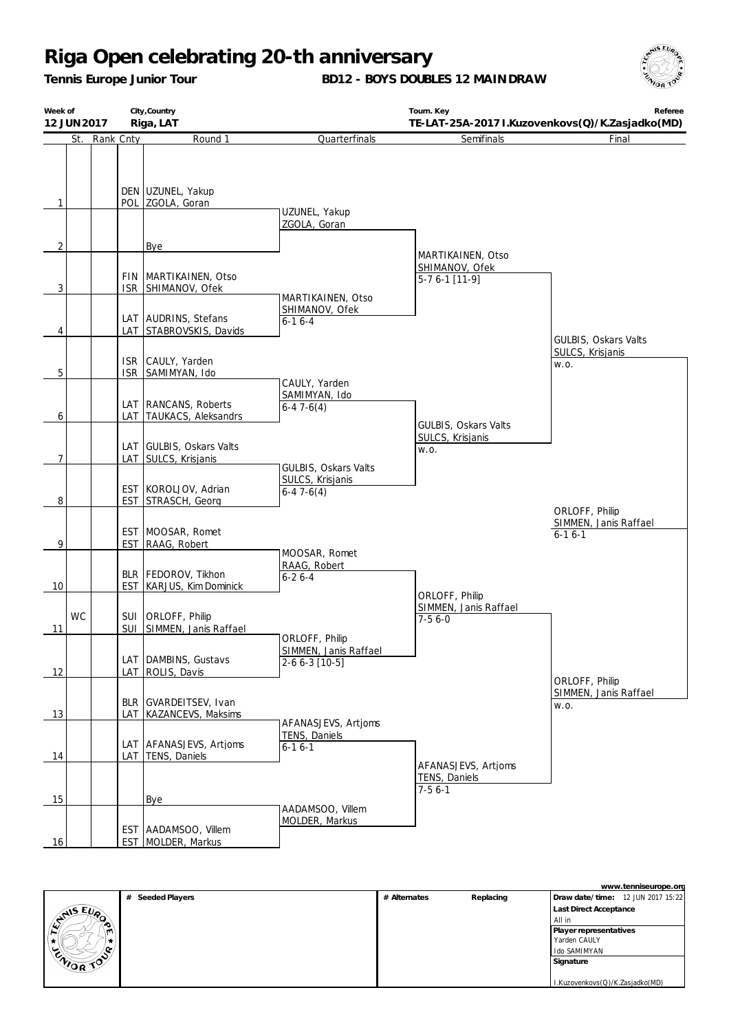*Tennis Europe Junior Tour*

**BD12 - BOYS DOUBLES 12 MAINDRAW**



| Week of<br>12 JUN 2017 |    |               | City, Country<br>Riga, LAT |                                                  |                                                      | Referee<br>TE-LAT-25A-2017 I.Kuzovenkovs(Q)/K.Zasjadko(MD) |                                                     |
|------------------------|----|---------------|----------------------------|--------------------------------------------------|------------------------------------------------------|------------------------------------------------------------|-----------------------------------------------------|
|                        |    | St. Rank Cnty |                            | Round 1                                          | Quarterfinals                                        | Semifinals                                                 | Final                                               |
| 1                      |    |               |                            | DEN UZUNEL, Yakup<br>POL ZGOLA, Goran            | UZUNEL, Yakup<br>ZGOLA, Goran                        |                                                            |                                                     |
| $\overline{2}$         |    |               |                            | Bye                                              |                                                      |                                                            |                                                     |
| 3                      |    |               | <b>ISR</b>                 | FIN   MARTIKAINEN, Otso<br>SHIMANOV, Ofek        | MARTIKAINEN, Otso                                    | MARTIKAINEN, Otso<br>SHIMANOV, Ofek<br>$5-76-1$ [11-9]     |                                                     |
| 4                      |    |               |                            | LAT AUDRINS, Stefans<br>LAT STABROVSKIS, Davids  | SHIMANOV, Ofek<br>$6 - 16 - 4$                       |                                                            | GULBIS, Oskars Valts                                |
| 5                      |    |               |                            | ISR CAULY, Yarden<br>ISR SAMIMYAN, Ido           | CAULY, Yarden                                        |                                                            | SULCS, Krisjanis<br>W.O.                            |
| 6                      |    |               |                            | LAT RANCANS, Roberts<br>LAT TAUKACS, Aleksandrs  | SAMIMYAN, Ido<br>$6-47-6(4)$                         | GULBIS, Oskars Valts                                       |                                                     |
| 7                      |    |               |                            | LAT GULBIS, Oskars Valts<br>LAT SULCS, Krisjanis | <b>GULBIS, Oskars Valts</b>                          | SULCS, Krisjanis<br>W.O.                                   |                                                     |
| 8                      |    |               |                            | EST KOROLJOV, Adrian<br>EST STRASCH, Georg       | SULCS, Krisjanis<br>$6-47-6(4)$                      |                                                            |                                                     |
| 9                      |    |               |                            | EST MOOSAR, Romet<br>EST RAAG, Robert            |                                                      |                                                            | ORLOFF, Philip<br>SIMMEN, Janis Raffael<br>$6-16-1$ |
| 10                     |    |               | <b>EST</b>                 | BLR   FEDOROV, Tikhon<br>KARJUS, Kim Dominick    | MOOSAR, Romet<br>RAAG, Robert<br>$6 - 26 - 4$        | ORLOFF, Philip                                             |                                                     |
| 11                     | WC |               |                            | SUI ORLOFF, Philip<br>SUI SIMMEN, Janis Raffael  | ORLOFF, Philip                                       | SIMMEN, Janis Raffael<br>$7-56-0$                          |                                                     |
| 12                     |    |               |                            | LAT DAMBINS, Gustavs<br>LAT ROLIS, Davis         | SIMMEN, Janis Raffael<br>$2-66-3$ [10-5]             |                                                            |                                                     |
| 13                     |    |               | LAT                        | BLR GVARDEITSEV, Ivan<br>KAZANCEVS, Maksims      |                                                      |                                                            | ORLOFF, Philip<br>SIMMEN, Janis Raffael<br>W.O.     |
| 14                     |    |               |                            | LAT AFANASJEVS, Artjoms<br>LAT TENS, Daniels     | AFANASJEVS, Artjoms<br>TENS, Daniels<br>$6 - 16 - 1$ |                                                            |                                                     |
| 15                     |    |               |                            | <b>Bye</b>                                       |                                                      | AFANASJEVS, Artjoms<br>TENS, Daniels<br>$7-56-1$           |                                                     |
| 16                     |    |               |                            | EST AADAMSOO, Villem<br>EST MOLDER, Markus       | AADAMSOO, Villem<br>MOLDER, Markus                   |                                                            |                                                     |

|                    |                     |              |           | www.tenniseurope.org              |
|--------------------|---------------------|--------------|-----------|-----------------------------------|
|                    | Seeded Players<br># | # Alternates | Replacing | Draw date/time: 12 JUN 2017 15:22 |
| $E_{\nu_{\alpha}}$ |                     |              |           | <b>Last Direct Acceptance</b>     |
| <b>SAIS</b>        |                     |              |           | All in                            |
|                    |                     |              |           | Player representatives            |
|                    |                     |              |           | Yarden CAULY                      |
|                    |                     |              |           | Ido SAMIMYAN                      |
| ENIOR TOP          |                     |              |           | Signature                         |
|                    |                     |              |           |                                   |
|                    |                     |              |           | I.Kuzovenkovs(Q)/K.Zasjadko(MD)   |